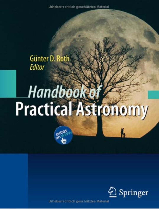Urheberrechtlich geschütztes Material

# Günter D. Roth **Editor**

# Handbook **Practical Astronomy**



Urheberrechtlich geschütztes Material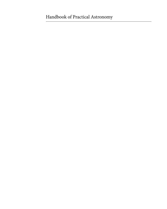# Handbook of Practical Astronomy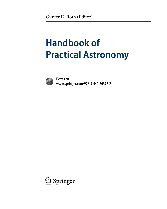# **Handbook of Practical Astronomy**



**Extras on www.springer.com/978-3-540-76377-2**

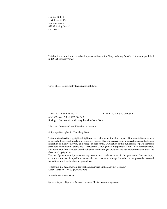Günter D. Roth Ulrichstraße 43a Irschenhausen 82057 Icking/Isartal Germany

This book is a completely revised and updated edition of the *Compendium of Practical Astronomy*, published in 1994 at Springer-Verlag.

Cover photo: Copyright by Franz Xaver Kohlhauf.

ISBN 978-3-540-76377-2 e-ISBN 978-3-540-76379-6 DOI 10.1007/978-3-540-76379-6 Springer Dordrecht Heidelberg London New York

Library of Congress Control Number: 2008944087

© Springer-Verlag Berlin Heidelberg 2009

This work is subject to copyright. All rights are reserved, whether the whole or part of the material is concerned, specifically the rights of translation, reprinting, reuse of illustrations, recitation, broadcasting, reproduction on microfilm or in any other way, and storage in data banks. Duplication of this publication or parts thereof is permitted only under the provisions of the German Copyright Law of September 9, 1965, in its current version, and permission for use must always be obtained from Springer. Violations are liable for prosecution under the German Copyright Law.

The use of general descriptive names, registered names, trademarks, etc. in this publication does not imply, even in the absence of a specific statement, that such names are exempt from the relevant protective laws and regulations and therefore free for general use.

*Typesetting and Production*: le-tex publishing services GmbH, Leipzig, Germany *Cover Design*: WMXDesign, Heidelberg

Printed on acid-free paper

Springer is part of Springer Science+Business Media (www.springer.com)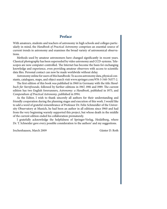### **Preface**

With amateurs, students and teachers of astronomy in high schools and colleges particularly in mind, the *Handbook of Practical Astronomy* comprises an essential source of current trends in astronomy and examines the broad variety of astronomical observations.

Methods used by amateur astronomers have changed significantly in recent years. Classical photography has been superseded by video astronomy and CCD-systems. Telescopes are now computer-controlled. The Internet has become the basis for exchanging knowledge and experience, even providing amateur observers with access to scientific data files. Personal contact can now be made worldwide without delay.

Astronomy online for users of this handbook: To access astronomy data, physical constants, catalogues, maps, and object search visit www.springer.com/978-3-540-76377-2.

The first edition of this book was published in 1960 in Germany with the title *Handbuch für Sternfreunde*, followed by further editions in 1967, 1981 and 1989. The current edition has two English forerunners, *Astronomy: a Handbook*, published in 1975, and *Compendium of Practical Astronomy*, published in 1994.

As the Editor, I wish to thank sincerely all authors for their understanding and friendly cooperation during the planning stages and execution of this work. I would like to add a word of grateful remembrance of Professor Dr. Felix Schmeidler of the University Observatory at Munich, he had been an author in all editions since 1960 and had from the very beginning warmly supported this project, but whose death in the middle of the current edition ended his collaboration prematurely.

I gratefully acknowledge the helpfulness of Springer-Verlag, Heidelberg, where Dr. T. Schneider gave every possible consideration to the authors' and my suggestions.

Irschenhausen, March Günter D. Roth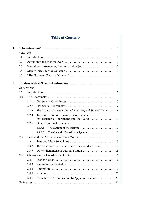# **Table of Contents**

| 1. |             |           |                                                                                        | 1              |  |
|----|-------------|-----------|----------------------------------------------------------------------------------------|----------------|--|
|    |             | G.D. Roth |                                                                                        |                |  |
|    | 1.1         |           |                                                                                        | 1              |  |
|    | 1.2         |           |                                                                                        | 1              |  |
|    | 1.3         |           | Specialized Instruments, Methods and Objects                                           | $\overline{2}$ |  |
|    | 1.4         |           |                                                                                        | 3              |  |
|    | 1.5         |           |                                                                                        | $\overline{4}$ |  |
| 2. |             |           |                                                                                        | 5              |  |
|    | M. Gottwald |           |                                                                                        |                |  |
|    | 2.1         |           |                                                                                        | 5              |  |
|    | 2.2         |           |                                                                                        | 5              |  |
|    |             | 2.2.1     |                                                                                        | 5              |  |
|    |             | 2.2.2     |                                                                                        | 7              |  |
|    |             | 2.2.3     | The Equatorial System, Vernal Equinox, and Sidereal Time                               | 9              |  |
|    |             | 2.2.4     | Transformation of Horizontal Coordinates<br>into Equatorial Coordinates and Vice Versa | 11             |  |
|    |             | 2.2.5     |                                                                                        | 11             |  |
|    |             |           | The System of the Ecliptic<br>2.2.5.1                                                  | 12             |  |
|    |             |           | The Galactic Coordinate System<br>2.2.5.2                                              | 12             |  |
|    | 2.3         |           |                                                                                        | 13             |  |
|    |             | 2.3.1     |                                                                                        | 13             |  |
|    |             | 2.3.2     | The Relation Between Sidereal Time and Mean Time                                       | 14             |  |
|    |             | 2.3.3     | Other Phenomena of Diurnal Motion                                                      | 15             |  |
|    | 2.4         |           |                                                                                        | 16             |  |
|    |             | 2.4.1     |                                                                                        | 16             |  |
|    |             | 2.4.2     |                                                                                        | 16             |  |
|    |             | 2.4.3     |                                                                                        | 19             |  |
|    |             | 2.4.4     |                                                                                        | 20             |  |
|    |             | 2.4.5     | Reduction of Mean Position to Apparent Position                                        | 20             |  |
|    |             |           |                                                                                        | 21             |  |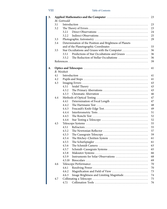# VIII Table of Contents

| 3. |     |                    |                                                         |    |
|----|-----|--------------------|---------------------------------------------------------|----|
|    |     | M. Gottwald        |                                                         |    |
|    | 3.1 |                    |                                                         | 23 |
|    | 3.2 |                    |                                                         | 23 |
|    |     | 3.2.1              |                                                         | 24 |
|    |     | 3.2.2              |                                                         | 25 |
|    | 3.3 |                    |                                                         | 29 |
|    | 3.4 |                    | Determination of the Position and Brightness of Planets |    |
|    |     |                    |                                                         | 33 |
|    | 3.5 |                    | Star Occultations and Grazes with the Computer          | 36 |
|    |     | 3.5.1              | Predictions of Star Occultations and Grazes             | 36 |
|    |     | 3.5.2              |                                                         | 36 |
|    |     |                    |                                                         | 39 |
|    |     |                    |                                                         |    |
| 4. |     |                    |                                                         | 41 |
|    |     | <b>B.</b> Weisheit |                                                         |    |
|    | 4.1 |                    |                                                         | 41 |
|    | 4.2 |                    |                                                         | 41 |
|    | 4.3 |                    |                                                         | 43 |
|    |     | 4.3.1              |                                                         | 43 |
|    |     | 4.3.2              |                                                         | 43 |
|    |     | 4.3.3              |                                                         | 46 |
|    | 4.4 |                    |                                                         | 47 |
|    |     | 4.4.1              |                                                         | 47 |
|    |     | 4.4.2              |                                                         | 48 |
|    |     | 4.4.3              |                                                         | 49 |
|    |     | 4.4.4              |                                                         | 51 |
|    |     | 4.4.5              |                                                         | 52 |
|    |     | 4.4.6              |                                                         | 52 |
|    | 4.5 |                    |                                                         | 55 |
|    |     | 4.5.1              |                                                         | 55 |
|    |     | 4.5.2              |                                                         | 57 |
|    |     | 4.5.3              |                                                         | 59 |
|    |     | 4.5.4              |                                                         | 61 |
|    |     | 4.5.5              |                                                         | 61 |
|    |     | 4.5.6              |                                                         | 63 |
|    |     | 4.5.7              | Schmidt-Cassegrain Systems                              | 65 |
|    |     | 4.5.8              |                                                         | 66 |
|    |     | 4.5.9              | Instruments for Solar Observations                      | 68 |
|    |     | 4.5.10             |                                                         | 69 |
|    | 4.6 |                    |                                                         | 70 |
|    |     | 4.6.1              |                                                         | 70 |
|    |     | 4.6.2              |                                                         | 73 |
|    |     | 4.6.3              | Image Brightness and Limiting Magnitude                 | 74 |
|    | 4.7 |                    |                                                         | 75 |
|    |     | 4.7.1              |                                                         | 76 |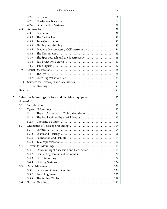|    |      | 4.7.2              |                                                       | 76  |
|----|------|--------------------|-------------------------------------------------------|-----|
|    |      | 4.7.3              |                                                       | 77  |
|    |      | 4.7.4              |                                                       | 78  |
|    | 4.8  |                    |                                                       | 78  |
|    |      | 4.8.1              |                                                       | 78  |
|    |      | 4.8.2              |                                                       | 81  |
|    |      | 4.8.3              |                                                       | 82  |
|    |      | 4.8.4              |                                                       | 83  |
|    |      | 4.8.5              | Eyepiece Micrometers / CCD Astrometry                 | 84  |
|    |      | 4.8.6              |                                                       | 85  |
|    |      | 4.8.7              | The Spectrograph and the Spectroscope                 | 86  |
|    |      | 4.8.8              |                                                       | 87  |
|    |      | 4.8.9              |                                                       | 87  |
|    | 4.9  |                    |                                                       | 88  |
|    |      | 4.9.1              |                                                       | 88  |
|    |      | 4.9.2              |                                                       | 89  |
|    | 4.10 |                    |                                                       | 91  |
|    | 4.11 |                    |                                                       | 91  |
|    |      |                    |                                                       | 91  |
|    |      |                    |                                                       |     |
| 5. |      |                    | Telescope Mountings, Drives, and Electrical Equipment | 95  |
|    |      | <b>B.</b> Weisheit |                                                       |     |
|    | 5.1  |                    |                                                       | 95  |
|    | 5.2  |                    |                                                       | 95  |
|    |      | 5.2.1              | The Alt-Azimuthal or Dobsonian Mount                  | 96  |
|    |      | 5.2.2              |                                                       | 97  |
|    |      | 5.2.3              |                                                       | 102 |
|    | 5.3  |                    |                                                       | 104 |
|    |      | 5.3.1              |                                                       | 104 |
|    |      | 5.3.2              |                                                       |     |
|    |      | 5.3.3              |                                                       |     |
|    |      | 5.3.4              |                                                       | 112 |
|    | 5.4  |                    |                                                       | 114 |
|    |      | 5.4.1              | Drives in Right Ascension and Declination  115        |     |
|    |      | 5.4.2              | Connecting Mount and Computer                         | 120 |
|    |      |                    |                                                       |     |
|    |      | 5.4.3              |                                                       | 122 |
|    |      | 5.4.4              |                                                       | 124 |
|    | 5.5  |                    |                                                       | 126 |
|    |      | 5.5.1              |                                                       | 126 |
|    |      | 5.5.2              |                                                       | 127 |
|    |      | 5.5.3              |                                                       | 129 |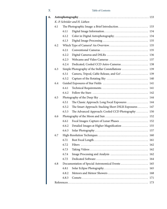# X Table of Contents

| 6. |     |       |                                                        |     |
|----|-----|-------|--------------------------------------------------------|-----|
|    |     |       | K.-P. Schröder and H. Lüthen                           |     |
|    | 6.1 |       | The Photographic Image: a Brief Introduction 133       |     |
|    |     | 6.1.1 |                                                        |     |
|    |     | 6.1.2 | Color in Digital Astrophotography 134                  |     |
|    |     | 6.1.3 |                                                        |     |
|    | 6.2 |       |                                                        |     |
|    |     | 6.2.1 |                                                        |     |
|    |     | 6.2.2 |                                                        |     |
|    |     | 6.2.3 |                                                        |     |
|    |     | 6.2.4 | Dedicated, Cooled CCD Astro-Cameras 138                |     |
|    | 6.3 |       | Simple Photography of the Stellar Constellations  139  |     |
|    |     | 6.3.1 | Camera, Tripod, Cable Release, and Go! 139             |     |
|    |     | 6.3.2 |                                                        |     |
|    | 6.4 |       |                                                        |     |
|    |     | 6.4.1 |                                                        |     |
|    |     | 6.4.2 |                                                        |     |
|    | 6.5 |       |                                                        |     |
|    |     | 6.5.1 | The Classic Approach: Long Focal Exposures  144        |     |
|    |     | 6.5.2 | The Smart Approach: Stacking Short DSLR Exposures  147 |     |
|    |     | 6.5.3 | The Advanced Approach: Cooled CCD Photography  150     |     |
|    | 6.6 |       |                                                        |     |
|    |     | 6.6.1 | Focal Images: Capture of Lunar Phases  152             |     |
|    |     | 6.6.2 | Detailed Images at Higher Magnification  155           |     |
|    |     | 6.6.3 |                                                        |     |
|    | 6.7 |       |                                                        |     |
|    |     | 6.7.1 |                                                        |     |
|    |     | 6.7.2 |                                                        |     |
|    |     | 6.73  |                                                        |     |
|    |     | 6.7.4 |                                                        | 162 |
|    |     | 6.7.5 |                                                        | 164 |
|    | 6.8 |       |                                                        | 165 |
|    |     | 6.8.1 |                                                        | 165 |
|    |     | 6.8.2 | Meteors and Meteor Showers                             | 168 |
|    |     | 6.8.3 |                                                        | 171 |
|    |     |       |                                                        | 173 |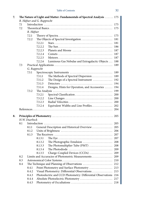| 7.1 |                    |              |                                                                 |     |
|-----|--------------------|--------------|-----------------------------------------------------------------|-----|
| 7.2 |                    |              |                                                                 | 175 |
|     | R. Häfner<br>7.2.1 |              |                                                                 |     |
|     | 7.2.2              |              |                                                                 |     |
|     |                    | 7.2.2.1      |                                                                 |     |
|     |                    |              |                                                                 |     |
|     |                    | 7.2.2.2      |                                                                 |     |
|     |                    | 7.2.2.3      |                                                                 |     |
|     |                    | 7.2.2.4      |                                                                 |     |
|     |                    | 7.2.2.5      |                                                                 |     |
|     |                    | 7.2.2.6      | Luminous Gas Nebulae and Extragalactic Objects  188             |     |
| 7.3 |                    |              |                                                                 | 189 |
|     |                    | G. Rupprecht |                                                                 |     |
|     | 7.3.1              |              |                                                                 |     |
|     |                    | 7.3.1.1      | The Methods of Spectral Dispersion  189                         |     |
|     |                    | 7.3.1.2      | The Design of a Spectral Instrument  192                        |     |
|     |                    | 7.3.1.3      |                                                                 |     |
|     |                    | 7.3.1.4      | Designs, Hints for Operation, and Accessories  194              |     |
|     | 7.3.2              |              |                                                                 |     |
|     |                    | 7.3.2.1      |                                                                 |     |
|     |                    | 7.3.2.2      |                                                                 |     |
|     |                    |              |                                                                 |     |
|     |                    | 7.3.2.3      |                                                                 |     |
|     |                    | 7.3.2.4      |                                                                 |     |
|     |                    |              |                                                                 |     |
|     |                    |              |                                                                 |     |
|     |                    |              |                                                                 |     |
|     | H.W. Duerbeck      |              |                                                                 |     |
| 8.1 |                    |              |                                                                 |     |
|     | 8.1.1              |              | General Description and Historical Overview 205                 |     |
|     | 8.1.2              |              |                                                                 |     |
|     | 8.1.3              |              |                                                                 |     |
|     |                    | 8.1.3.1      |                                                                 |     |
|     |                    | 8.1.3.2      |                                                                 |     |
|     |                    | 8.1.3.3      | The Photomultiplier Tube (PMT)  208                             |     |
|     |                    | 8.1.3.4      |                                                                 |     |
|     |                    |              | 8.1.3.5 Charge-Coupled Devices (CCDs)  209                      |     |
| 8.2 |                    |              |                                                                 |     |
| 8.3 |                    |              |                                                                 |     |
| 8.4 |                    |              |                                                                 |     |
|     | 8.4.1              |              | Point Photometry and Surface Photometry  213                    |     |
|     | 8.4.2              |              | Visual Photometry: Differential Observations 213                |     |
|     | 8.4.3              |              |                                                                 | 204 |
|     | 8.4.4              |              | Photoelectric and CCD Photometry: Differential Observations 216 | 217 |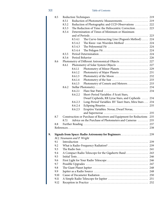# XII Table of Contents

|    | 8.5  |       |                            |                                                                        |     |
|----|------|-------|----------------------------|------------------------------------------------------------------------|-----|
|    |      | 8.5.1 |                            |                                                                        |     |
|    |      | 8.5.2 |                            | Reduction of Photographic and CCD Observations  222                    |     |
|    |      | 8.5.3 |                            | The Reduction of Time: the Heliocentric Correction 223                 |     |
|    |      | 8.5.4 |                            | Determination of Times of Minimum or Maximum                           |     |
|    |      |       |                            |                                                                        |     |
|    |      |       | 8.5.4.1                    | The Curve-Intersecting Line (Pogson's Method)  224                     |     |
|    |      |       | 8.5.4.2                    | The Kwee-van Woerden Method  224                                       |     |
|    |      |       | 8.5.4.3                    |                                                                        |     |
|    |      |       | 8.5.4.4                    |                                                                        |     |
|    |      | 8.5.5 |                            |                                                                        |     |
|    |      | 8.5.6 |                            |                                                                        |     |
|    | 8.6  |       |                            |                                                                        |     |
|    |      | 8.6.1 |                            |                                                                        |     |
|    |      |       | 8.6.1.1                    | Photometry of Minor Planets  229                                       |     |
|    |      |       | 8.6.1.2                    | Photometry of Major Planets  231                                       |     |
|    |      |       | 8.6.1.3                    |                                                                        |     |
|    |      |       | 8.6.1.4                    |                                                                        |     |
|    |      |       | 8.6.1.5                    | Photometry of Comets and Meteors 233                                   |     |
|    |      | 8.6.2 |                            |                                                                        |     |
|    |      |       | 8.6.2.1                    |                                                                        |     |
|    |      |       | 8.6.2.2                    | Short-Period Variables: δ Scuti Stars,                                 |     |
|    |      |       |                            | Dwarf Cepheids, RR Lyrae Stars, and Cepheids  234                      |     |
|    |      |       | 8.6.2.3                    | Long-Period Variables: RV Tauri Stars, Mira Stars  234                 |     |
|    |      |       | 8.6.2.4                    |                                                                        |     |
|    |      |       | 8.6.2.5                    | Eruptive Variables: Novae, Dwarf Novae,                                |     |
|    |      |       |                            |                                                                        |     |
|    | 8.7  |       |                            | Construction or Purchase of Receivers and Equipment for Reductions 235 |     |
|    |      | 8.7.1 |                            | Advice on the Purchase of Photometers and Cameras  235                 |     |
|    | 8.8  |       |                            |                                                                        |     |
|    |      |       |                            |                                                                        |     |
|    |      |       |                            |                                                                        |     |
| 9. |      |       |                            |                                                                        |     |
|    |      |       | M.J. Neumann and P. Wright |                                                                        |     |
|    | 9.1  |       |                            |                                                                        |     |
|    | 9.2  |       |                            |                                                                        |     |
|    | 9.3  |       |                            |                                                                        |     |
|    | 9.4  |       |                            | A Compact Radio Telescope for the Gigahertz Band  243                  |     |
|    | 9.5  |       |                            |                                                                        |     |
|    | 9.6  |       |                            |                                                                        |     |
|    | 9.7  |       |                            |                                                                        | 247 |
|    | 9.8  |       |                            |                                                                        | 248 |
|    | 9.9  |       |                            |                                                                        | 248 |
|    | 9.10 |       |                            |                                                                        | 250 |
|    | 9.11 |       |                            |                                                                        | 251 |
|    | 9.12 |       |                            |                                                                        |     |
|    |      |       |                            |                                                                        |     |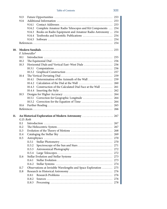|     | 9.13      |                                                                     |     |
|-----|-----------|---------------------------------------------------------------------|-----|
|     | 9.14      |                                                                     |     |
|     |           | 9.14.1                                                              |     |
|     |           | Complete Amateur Radio Telescopes and Kit Components  254<br>9.14.2 |     |
|     |           | Books on Radio Equipment and Amateur Radio Astronomy 254<br>9.14.3  |     |
|     |           | 9.14.4                                                              |     |
|     |           | 9.14.5                                                              |     |
|     |           |                                                                     |     |
| 10. |           |                                                                     |     |
|     |           | $F.$ Schmeidler $†$                                                 |     |
|     | 10.1      |                                                                     |     |
|     | 10.2      |                                                                     |     |
|     | 10.3      | Horizontal Dials and Vertical East-West Dials  256                  |     |
|     |           | 10.3.1                                                              |     |
|     |           | 10.3.2                                                              |     |
|     | 10.4      |                                                                     |     |
|     |           | 10.4.1                                                              |     |
|     |           | 10.4.2                                                              |     |
|     |           | Construction of the Calculated Dial Face at the Wall  261<br>10.4.3 |     |
|     |           | 10.4.4                                                              |     |
|     | 10.5      |                                                                     |     |
|     |           | Correction for Geographic Longitude  264<br>10.5.1                  |     |
|     |           | 10.5.2                                                              |     |
|     | 10.6      |                                                                     |     |
|     |           |                                                                     |     |
| 11. |           | An Historical Exploration of Modern Astronomy  267                  |     |
|     | G.D. Roth |                                                                     |     |
|     | 11.1      |                                                                     |     |
|     | 11.2      |                                                                     |     |
|     | 11.3      |                                                                     |     |
|     | 11.4      |                                                                     |     |
|     | 11.5      |                                                                     |     |
|     |           | 11.5.1                                                              |     |
|     |           | 11.5.2                                                              |     |
|     |           | 11.5.3                                                              |     |
|     |           | 11.5.4                                                              | 272 |
|     | 11.6      |                                                                     | 273 |
|     |           | 11.6.1                                                              | 273 |
|     |           | 11.6.2                                                              | 274 |
|     | 11.7      | Observations at Invisible Wavelengths and Space Exploration         | 275 |
|     | 11.8      |                                                                     | 276 |
|     |           | 11.8.1                                                              | 276 |
|     |           | 11.8.2                                                              | 276 |
|     |           | 11.8.3                                                              | 278 |
|     |           |                                                                     |     |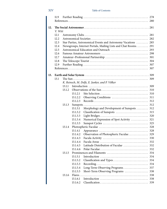# XIV Table of Contents

|     | 11.9    |        |          |                                                            |     |
|-----|---------|--------|----------|------------------------------------------------------------|-----|
|     |         |        |          |                                                            |     |
| 12. |         |        |          |                                                            |     |
|     | V. Witt |        |          |                                                            |     |
|     | 12.1    |        |          |                                                            |     |
|     | 12.2    |        |          |                                                            |     |
|     | 12.3    |        |          | Star Parties, Astronomical Events and Astronomy Vacations  | 285 |
|     | 12.4    |        |          | Newsgroups, Internet Portals, Mailing Lists and Chat Rooms | 291 |
|     | 12.5    |        |          |                                                            |     |
|     | 12.6    |        |          |                                                            |     |
|     | 12.7    |        |          |                                                            |     |
|     | 12.8    |        |          |                                                            |     |
|     | 12.9    |        |          |                                                            |     |
|     |         |        |          |                                                            | 307 |
| 13. |         |        |          |                                                            |     |
|     | 13.1    |        |          |                                                            |     |
|     |         |        |          | K. Reinsch, M. Delfs, E. Junker, and P. Völker             |     |
|     |         | 13.1.1 |          |                                                            |     |
|     |         | 13.1.2 |          |                                                            |     |
|     |         |        | 13.1.2.1 |                                                            |     |
|     |         |        | 13.1.2.2 |                                                            |     |
|     |         |        | 13.1.2.3 |                                                            |     |
|     |         | 13.1.3 |          |                                                            |     |
|     |         |        | 13.1.3.1 | Morphology and Development of Sunspots                     | 312 |
|     |         |        | 13.1.3.2 |                                                            | 315 |
|     |         |        | 13.1.3.3 |                                                            |     |
|     |         |        | 13.1.3.4 | Numerical Expression of Spot Activity  321                 |     |
|     |         |        | 13.1.3.5 |                                                            | 325 |
|     |         | 13.1.4 |          |                                                            |     |
|     |         |        | 13.1.4.1 |                                                            |     |
|     |         |        | 13.1.4.2 | Observation of Photospheric Faculae 329                    |     |
|     |         |        | 13.1.4.3 |                                                            |     |
|     |         |        | 13.1.4.4 |                                                            |     |
|     |         |        | 13.1.4.5 | Latitude Distribution of Faculae  332                      |     |
|     |         |        | 13.1.4.6 |                                                            |     |
|     |         | 13.1.5 |          |                                                            |     |
|     |         |        | 13.1.5.1 |                                                            |     |
|     |         |        | 13.1.5.2 |                                                            | 334 |
|     |         |        | 13.1.5.3 |                                                            | 334 |
|     |         |        | 13.1.5.4 | Long-Term Observing Programs                               | 337 |
|     |         |        | 13.1.5.5 | Short-Term Observing Programs                              | 338 |
|     |         | 13.1.6 |          |                                                            | 338 |
|     |         |        | 13.1.6.1 |                                                            | 338 |
|     |         |        | 13.1.6.2 |                                                            | 339 |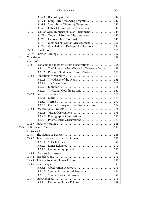|      |             | 13.1.6.3 |                                                                               |     |
|------|-------------|----------|-------------------------------------------------------------------------------|-----|
|      |             | 13.1.6.4 | Long-Term Observing Programs 342                                              |     |
|      |             | 13.1.6.5 | Short-Term Observing Programs  343                                            |     |
|      |             | 13.1.6.6 | Other Chromospheric Phenomena                                                 | 344 |
|      | 13.1.7      |          |                                                                               |     |
|      |             | 13.1.7.1 | Targets of Position Measurements                                              | 345 |
|      |             | 13.1.7.2 | Heliographic Coordinates                                                      | 349 |
|      |             | 13.1.7.3 | Methods of Position Measurement                                               | 350 |
|      |             | 13.1.7.4 | Calculation of Heliographic Positions                                         | 354 |
|      | 13.1.8      |          |                                                                               | 357 |
|      | 13.1.9      |          |                                                                               | 357 |
| 13.2 |             |          |                                                                               | 358 |
|      | G.D. Roth   |          |                                                                               |     |
|      | 13.2.1      |          | Problems and Ideas for Lunar Observations                                     | 358 |
|      |             | 13.2.1.1 | The Moon as a Test Object for Telescopic Work                                 | 358 |
|      |             | 13.2.1.2 | Previous Studies and Space Missions                                           | 359 |
|      | 13.2.2      |          |                                                                               | 363 |
|      |             | 13.2.2.1 | The Phases of the Moon                                                        | 365 |
|      |             | 13.2.2.2 | The Terminator $\dots\dots\dots\dots\dots\dots\dots\dots\dots\dots\dots\dots$ | 365 |
|      |             | 13.2.2.3 |                                                                               | 366 |
|      |             | 13.2.2.4 | The Lunar Coordinate Grid                                                     | 367 |
|      | 13.2.3      |          |                                                                               | 369 |
|      |             | 13.2.3.1 |                                                                               | 369 |
|      |             | 13.2.3.2 |                                                                               | 371 |
|      |             | 13.2.3.3 | On the History of Lunar Nomenclature                                          | 374 |
|      | 13.2.4      |          |                                                                               | 376 |
|      |             | 13.2.4.1 | Visual Observations                                                           | 376 |
|      |             | 13.2.4.2 | Photographic Observations                                                     | 382 |
|      |             | 13.2.4.3 |                                                                               | 383 |
|      | 13.2.5      |          |                                                                               | 385 |
| 13.3 |             |          |                                                                               | 386 |
|      | C. Treichel |          |                                                                               |     |
|      | 13.3.1      |          |                                                                               | 386 |
|      | 13.3.2      |          |                                                                               |     |
|      |             | 13.3.2.1 |                                                                               | 390 |
|      |             | 13.3.2.2 |                                                                               | 392 |
|      |             | 13.3.2.3 |                                                                               | 392 |
|      | 13.3.3      |          |                                                                               | 392 |
|      | 13.3.4      |          |                                                                               | 393 |
|      | 13.3.5      |          |                                                                               | 393 |
|      | 13.3.6      |          |                                                                               | 393 |
|      |             | 13.3.6.1 | Observation Methods                                                           | 393 |
|      |             | 13.3.6.2 | Special Astronomical Programs                                                 | 394 |
|      |             | 13.3.6.3 | Special Terrestrial Programs                                                  | 398 |
|      | 13.3.7      |          |                                                                               | 399 |
|      |             | 13.3.7.1 | Penumbral Lunar Eclipses                                                      | 399 |
|      |             |          |                                                                               |     |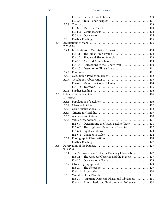|      |             | 13.3.7.2                                                  |     |
|------|-------------|-----------------------------------------------------------|-----|
|      |             | 13.3.7.3                                                  | 401 |
|      | 13.3.8      |                                                           | 403 |
|      |             | 13.3.8.1                                                  | 404 |
|      |             | 13.3.8.2                                                  | 404 |
|      |             | 13.3.8.3                                                  | 405 |
|      | 13.3.9      |                                                           | 405 |
| 13.4 |             |                                                           | 406 |
|      | C. Treichel |                                                           |     |
|      | 13.4.1      |                                                           | 408 |
|      |             | The Lunar Limb Profile<br>13.4.1.1                        | 408 |
|      |             | 13.4.1.2                                                  | 409 |
|      |             | 13.4.1.3                                                  | 409 |
|      |             | Corrections to the Lunar Orbit<br>13.4.1.4                | 410 |
|      |             | 13.4.1.5<br>Detection of Binary Stars                     | 411 |
|      | 13.4.2      |                                                           | 411 |
|      | 13.4.3      |                                                           | 412 |
|      | 13.4.4      |                                                           | 413 |
|      |             | Measuring Contact Times<br>13.4.4.1                       | 414 |
|      |             | 13.4.4.2                                                  | 415 |
|      | 13.4.5      |                                                           | 416 |
| 13.5 |             |                                                           | 416 |
|      | C. Treichel |                                                           |     |
|      | 13.5.1      |                                                           | 416 |
|      | 13.5.2      |                                                           | 417 |
|      | 13.5.3      |                                                           | 418 |
|      | 13.5.4      |                                                           | 419 |
|      | 13.5.5      |                                                           | 420 |
|      | 13.5.6      |                                                           | 421 |
|      |             | Determining the Actual Satellite Track<br>13.5.6.1        | 421 |
|      |             | The Brightness Behavior of Satellites<br>13.5.6.2         | 422 |
|      |             | 13.5.6.3                                                  | 423 |
|      |             | 13.5.6.4                                                  | 424 |
|      | 13.5.7      |                                                           | 424 |
|      | 13.5.8      |                                                           | 427 |
| 13.6 |             |                                                           | 427 |
|      | G.D. Roth   |                                                           |     |
|      | 13.6.1      | The Purpose of and Tasks for Planetary Observations.  427 |     |
|      |             | 13.6.1.1<br>The Amateur Observer and the Planets          | 427 |
|      |             | 13.6.1.2<br>Observational Tasks                           | 428 |
|      | 13.6.2      |                                                           | 429 |
|      |             | 13.6.2.1                                                  | 429 |
|      |             | 13.6.2.2                                                  | 430 |
|      | 13.6.3      |                                                           | 431 |
|      |             | Apparent Diameter, Phase, and Oblateness<br>13.6.3.1      | 431 |
|      |             | 13.6.3.2<br>Atmospheric and Environmental Influences  432 |     |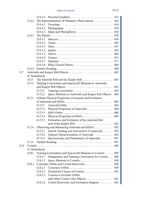|      |                | 13.6.3.3      |                                                        | 433 |
|------|----------------|---------------|--------------------------------------------------------|-----|
|      | 13.6.4         |               | The Representations of Planetary Observations          | 434 |
|      |                | 13.6.4.1      |                                                        | 434 |
|      |                | 13.6.4.2      |                                                        | 434 |
|      |                | 13.6.4.3      |                                                        | 436 |
|      | 13.6.5         |               |                                                        | 438 |
|      |                | 13.6.5.1      |                                                        | 438 |
|      |                | 13.6.5.2      |                                                        | 440 |
|      |                | 13.6.5.3      |                                                        | 447 |
|      |                | 13.6.5.4      |                                                        | 456 |
|      |                | 13.6.5.5      |                                                        | 468 |
|      |                | 13.6.5.6      |                                                        | 474 |
|      |                | 13.6.5.7      |                                                        | 477 |
|      |                | 13.6.5.8      | Pluto (Dwarf Planet)                                   | 480 |
|      | 13.6.6         |               |                                                        | 480 |
| 13.7 |                |               |                                                        | 483 |
|      |                | H. Boehnhardt |                                                        |     |
|      | 13.7.1         |               | The Asteroid Belt and the Kuiper Belt                  | 483 |
|      | 13.7.2         |               | Naming Convention and Spacecraft Missions to Asteroids |     |
|      |                |               |                                                        | 483 |
|      |                | 13.7.2.1      |                                                        | 483 |
|      |                | 13.7.2.2      | Space Missions to Asteroids and Kuiper Belt Objects    | 484 |
|      | 13.7.3         |               | Orbital, Physical Properties, Formation and Evolution  |     |
|      |                |               |                                                        | 484 |
|      |                | 13.7.3.1      |                                                        | 484 |
|      |                | 13.7.3.2      | Physical Properties of Asteroids                       | 488 |
|      |                | 13.7.3.3      |                                                        | 488 |
|      |                | 13.7.3.4      | Physical Properties of KBOs                            | 489 |
|      |                | 13.7.3.5      | Formation and Evolution of the Asteroid Belt           |     |
|      |                |               |                                                        | 492 |
|      | 13.7.4         |               | Observing and Measuring Asteroids and KBOs             | 492 |
|      |                | 13.7.4.1      | Search, Finding and Astrometry of Asteroids            | 493 |
|      |                | 13.7.4.2      | Optical Characterization of Asteroids                  | 494 |
|      |                | 13.7.4.3      | Spectroscopy and Polarimetry of Asteroids              | 497 |
|      | 13.7.5         |               |                                                        | 497 |
| 13.8 | Comets $\dots$ |               |                                                        | 498 |
|      |                | H. Boehnhardt |                                                        |     |
|      | 13.8.1         |               | Naming Convention and Spacecraft Missions to Comets    | 498 |
|      |                | 13.8.1.1      | Designation and Naming Convention for Comets           | 498 |
|      |                | 13.8.1.2      | Space Missions to Comets                               | 498 |
|      | 13.8.2         |               | Cometary Orbits and Comet Reservoirs                   | 500 |
|      |                | 13.8.2.1      |                                                        | 500 |
|      |                | 13.8.2.2      | Dynamical Classes of Comets                            | 501 |
|      |                | 13.8.2.3      | Comets in Peculiar Orbits                              |     |
|      |                |               | and Other Comet-Like Objects                           | 501 |
|      |                | 13.8.2.4      | Comet Reservoirs and Formation Regions  502            |     |
|      |                |               |                                                        |     |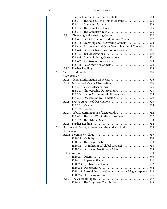|       | 13.8.3      |                                                            |     |
|-------|-------------|------------------------------------------------------------|-----|
|       |             | The Nucleus: the Comet Machine<br>13.8.3.1                 | 503 |
|       |             | 13.8.3.2                                                   | 503 |
|       |             | 13.8.3.3                                                   | 505 |
|       |             | 13.8.3.4                                                   | 505 |
|       | 13.8.4      |                                                            | 507 |
|       |             | Orbit Predictions and Finding Charts<br>13.8.4.1           | 507 |
|       |             | 13.8.4.2<br>Searching and Discovering Comets               | 508 |
|       |             | Astrometry and Orbit Determination of Comets<br>13.8.4.3   | 510 |
|       |             | 13.8.4.4<br>Optical Characterization of Comets             | 511 |
|       |             | 13.8.4.5                                                   | 519 |
|       |             | 13.8.4.6<br>Comet Splitting Observations                   | 521 |
|       |             | 13.8.4.7<br>Spectroscopy of Comets                         | 523 |
|       |             | 13.8.4.8                                                   | 524 |
|       | 13.8.5      |                                                            | 525 |
| 13.9  |             |                                                            | 526 |
|       |             | F. Schmeidler <sup>†</sup>                                 |     |
|       | 13.9.1      |                                                            | 526 |
|       | 13.9.2      |                                                            | 526 |
|       |             | 13.9.2.1<br>Visual Observations                            | 526 |
|       |             | 13.9.2.2                                                   | 528 |
|       |             | Radio Astronomical Observations<br>13.9.2.3                | 528 |
|       |             | 13.9.2.4                                                   | 529 |
|       | 13.9.3      |                                                            | 529 |
|       |             | 13.9.3.1                                                   | 529 |
|       |             | 13.9.3.2                                                   | 531 |
|       | 13.9.4      |                                                            | 532 |
|       |             | The Path Within the Atmosphere  532<br>13.9.4.1            |     |
|       |             | 13.9.4.2                                                   | 533 |
|       | 13.9.5      |                                                            |     |
| 13.10 |             | Noctilucent Clouds, Aurorae, and the Zodiacal Light  535   |     |
|       | Ch. Leinert |                                                            |     |
|       |             |                                                            |     |
|       |             | 13.10.1.1                                                  |     |
|       |             | 13.10.1.2                                                  |     |
|       |             | An Indicator of Global Change?  538<br>13.10.1.3           |     |
|       |             |                                                            |     |
|       |             |                                                            |     |
|       |             |                                                            | 540 |
|       |             |                                                            | 542 |
|       |             |                                                            | 542 |
|       |             |                                                            | 544 |
|       |             | 13.10.2.5 Auroral Oval and Connection to the Magnetosphere | 544 |
|       |             |                                                            | 546 |
|       |             |                                                            | 547 |
|       |             |                                                            | 548 |
|       |             |                                                            |     |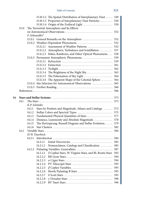|     |       |                            |                                            | 13.10.3.2 The Spatial Distribution of Interplanetary Dust    | 549 |  |  |  |
|-----|-------|----------------------------|--------------------------------------------|--------------------------------------------------------------|-----|--|--|--|
|     |       |                            |                                            | 13.10.3.3 Properties of Interplanetary Dust Particles        | 550 |  |  |  |
|     |       |                            |                                            |                                                              | 550 |  |  |  |
|     | 13.11 |                            | The Terrestrial Atmosphere and Its Effects |                                                              |     |  |  |  |
|     |       |                            |                                            |                                                              | 552 |  |  |  |
|     |       | F. Schmeidler <sup>†</sup> |                                            |                                                              |     |  |  |  |
|     |       |                            |                                            |                                                              | 552 |  |  |  |
|     |       |                            |                                            |                                                              | 552 |  |  |  |
|     |       |                            |                                            | 13.11.2.1 Assessment of Weather Patterns                     | 552 |  |  |  |
|     |       |                            |                                            | 13.11.2.2 Atmospheric Turbulence and Scintillation           | 557 |  |  |  |
|     |       |                            |                                            | 13.11.2.3 Halos, Rainbows, and Other Optical Phenomena       | 558 |  |  |  |
|     |       |                            |                                            |                                                              | 559 |  |  |  |
|     |       |                            |                                            |                                                              | 559 |  |  |  |
|     |       |                            |                                            |                                                              | 561 |  |  |  |
|     |       |                            |                                            |                                                              | 562 |  |  |  |
|     |       |                            |                                            |                                                              |     |  |  |  |
|     |       |                            |                                            | 13.11.3.4 The Brightness of the Night Sky                    | 563 |  |  |  |
|     |       |                            |                                            |                                                              | 564 |  |  |  |
|     |       |                            | 13.11.3.6                                  | The Apparent Shape of the Celestial Sphere                   | 564 |  |  |  |
|     |       |                            |                                            | 13.11.4 Site Selection for Astronomical Observations         | 565 |  |  |  |
|     |       |                            |                                            |                                                              |     |  |  |  |
|     |       |                            |                                            |                                                              | 566 |  |  |  |
| 14. |       |                            |                                            |                                                              |     |  |  |  |
|     | 14.1  |                            |                                            |                                                              | 573 |  |  |  |
|     |       | K.P. Schröder              |                                            |                                                              |     |  |  |  |
|     |       | 14.1.1                     |                                            | Stars by Position and Magnitude: Atlases and Catalogs        | 573 |  |  |  |
|     |       | 14.1.2                     |                                            |                                                              | 575 |  |  |  |
|     |       | 14.1.3                     |                                            | Fundamental Physical Quantities of Stars                     | 577 |  |  |  |
|     |       | 14.1.4                     |                                            | Distance, Luminosity and Absolute Magnitude                  | 578 |  |  |  |
|     |       | 14.1.5                     |                                            | The Hertzsprung-Russell Diagram and Stellar Evolution        | 579 |  |  |  |
|     |       | 14.1.6                     |                                            |                                                              | 582 |  |  |  |
|     | 14.2  |                            |                                            |                                                              | 584 |  |  |  |
|     |       |                            | H.W. Duerbeck                              |                                                              |     |  |  |  |
|     |       | 14.2.1                     |                                            |                                                              | 584 |  |  |  |
|     |       |                            | 14.2.1.1                                   |                                                              | 585 |  |  |  |
|     |       |                            | 14.2.1.2                                   | Nomenclature, Catalogs and Classification                    | 585 |  |  |  |
|     |       | 14.2.2                     |                                            |                                                              | 587 |  |  |  |
|     |       |                            | 14.2.2.1                                   | $\delta$ Cephei Stars, W Virginis Stars, and BL Bootis Stars | 592 |  |  |  |
|     |       |                            | 14.2.2.2                                   |                                                              | 594 |  |  |  |
|     |       |                            | 14.2.2.3                                   |                                                              | 594 |  |  |  |
|     |       |                            | 14.2.2.4                                   |                                                              | 595 |  |  |  |
|     |       |                            | 14.2.2.5                                   |                                                              | 595 |  |  |  |
|     |       |                            | 14.2.2.6                                   | Slowly Pulsating B Stars                                     | 595 |  |  |  |
|     |       |                            | 14.2.2.7                                   |                                                              | 595 |  |  |  |
|     |       |                            | 14.2.2.8                                   |                                                              | 596 |  |  |  |
|     |       |                            | 14.2.2.9                                   |                                                              | 596 |  |  |  |
|     |       |                            |                                            |                                                              |     |  |  |  |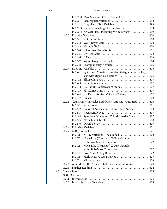|      |               |                                                          |                                                          | 598 |  |  |  |
|------|---------------|----------------------------------------------------------|----------------------------------------------------------|-----|--|--|--|
|      |               |                                                          |                                                          | 599 |  |  |  |
|      |               |                                                          | 14.2.2.13 Rapidly Pulsating Hot Subdwarfs                | 599 |  |  |  |
|      |               |                                                          | 14.2.2.14 ZZ Ceti Stars: Pulsating White Dwarfs          | 599 |  |  |  |
|      | 14.2.3        |                                                          |                                                          | 600 |  |  |  |
|      |               | 14.2.3.1                                                 |                                                          | 600 |  |  |  |
|      |               | 14.2.3.2                                                 |                                                          | 600 |  |  |  |
|      |               | 14.2.3.3                                                 |                                                          | 600 |  |  |  |
|      |               | 14.2.3.4                                                 | R Coronae Borealis Stars                                 | 601 |  |  |  |
|      |               | 14.2.3.5                                                 |                                                          | 602 |  |  |  |
|      |               | 14.2.3.6                                                 |                                                          | 603 |  |  |  |
|      |               | 14.2.3.7                                                 | Young Irregular Variables                                | 604 |  |  |  |
|      |               | 14.2.3.8                                                 | Protoplanetary Nebulae                                   | 605 |  |  |  |
|      |               |                                                          |                                                          | 605 |  |  |  |
|      |               | 14.2.4.1                                                 | $\alpha_2$ Canum Venaticorum Stars (Magnetic Variables), |     |  |  |  |
|      |               |                                                          |                                                          | 606 |  |  |  |
|      |               | 14.2.4.2                                                 |                                                          | 607 |  |  |  |
|      |               | 14.2.4.3                                                 |                                                          | 607 |  |  |  |
|      |               | 14.2.4.4                                                 | RS Canum Venaticorum Stars                               | 607 |  |  |  |
|      |               | 14.2.4.5                                                 |                                                          | 607 |  |  |  |
|      |               | 14.2.4.6                                                 | BY Draconis Stars ("Spotted" Stars)                      | 607 |  |  |  |
|      |               | 14.2.4.7                                                 |                                                          | 608 |  |  |  |
|      | 14.2.5        |                                                          | Cataclysmic Variables and Other Stars with Outbursts     | 610 |  |  |  |
|      |               | 14.2.5.1                                                 |                                                          | 611 |  |  |  |
|      |               | 14.2.5.2                                                 | Classical Novae and Helium-Flash Novae                   | 614 |  |  |  |
|      |               | 14.2.5.3                                                 |                                                          | 617 |  |  |  |
|      |               | 14.2.5.4                                                 | Symbiotic Novae and Z Andromedae Stars                   | 617 |  |  |  |
|      |               | 14.2.5.5                                                 |                                                          | 618 |  |  |  |
|      |               | 14.2.5.6                                                 |                                                          | 619 |  |  |  |
|      |               |                                                          |                                                          |     |  |  |  |
|      | 14.2.7        |                                                          |                                                          |     |  |  |  |
|      |               | 14.2.7.1                                                 | X-Ray Variables: Unclassified  622                       |     |  |  |  |
|      |               | 14.2.7.2                                                 | Nova-Like (Transient) X-Ray Variables                    |     |  |  |  |
|      |               |                                                          | with Low-Mass Companion  622                             |     |  |  |  |
|      |               | 14.2.7.3                                                 | Nova-Like (Transient) X-Ray Variables                    |     |  |  |  |
|      |               |                                                          | with High-Mass Companion  622                            |     |  |  |  |
|      |               |                                                          |                                                          |     |  |  |  |
|      |               | 14.2.7.5                                                 | High-Mass X-Ray Binaries                                 | 623 |  |  |  |
|      |               | 14.2.7.6                                                 |                                                          | 623 |  |  |  |
|      | 14.2.8        | A Guide for the Amateur to Objects and Literature<br>624 |                                                          |     |  |  |  |
|      | 14.2.9        |                                                          |                                                          |     |  |  |  |
| 14.3 |               |                                                          |                                                          | 625 |  |  |  |
|      | H.W. Duerbeck |                                                          |                                                          |     |  |  |  |
|      | 14.3.1        | 625                                                      |                                                          |     |  |  |  |
|      | 14.3.2        |                                                          |                                                          | 625 |  |  |  |